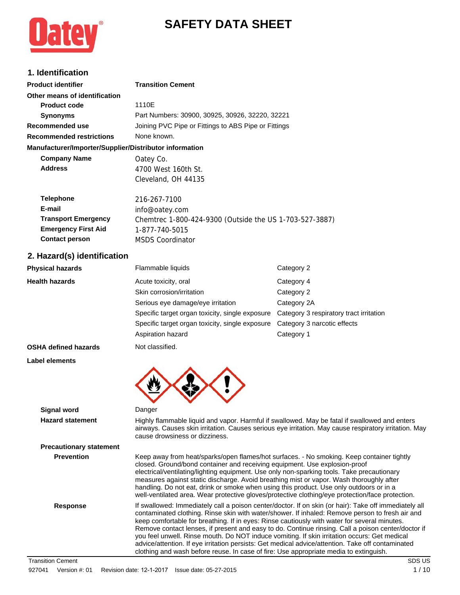# **SAFETY DATA SHEET**



## **1. Identification**

| n iuviitiivuuvii                                       |                                                         |
|--------------------------------------------------------|---------------------------------------------------------|
| <b>Product identifier</b>                              | <b>Transition Cement</b>                                |
| Other means of identification                          |                                                         |
| <b>Product code</b>                                    | 1110E                                                   |
| <b>Synonyms</b>                                        | Part Numbers: 30900, 30925, 30926, 32220, 32221         |
| Recommended use                                        | Joining PVC Pipe or Fittings to ABS Pipe or Fittings    |
| <b>Recommended restrictions</b>                        | None known.                                             |
| Manufacturer/Importer/Supplier/Distributor information |                                                         |
| <b>Company Name</b>                                    | Oatey Co.                                               |
| <b>Address</b>                                         | 4700 West 160th St.                                     |
|                                                        | Cleveland, OH 44135                                     |
| <b>Telephone</b>                                       | 216-267-7100                                            |
| E-mail                                                 | info@oatey.com                                          |
| <b>Transport Emergency</b>                             | Chemtrec 1-800-424-9300 (Outside the US 1-703-527-3887) |
| <b>Emergency First Aid</b>                             | 1-877-740-5015                                          |
| <b>Contact person</b>                                  | <b>MSDS Coordinator</b>                                 |
|                                                        |                                                         |

### **2. Hazard(s) identification**

| <b>Physical hazards</b>        | Flammable liquids                                                                                                                                                                                                                                                                                                                                              | Category 2                                                                                                                                                                                             |
|--------------------------------|----------------------------------------------------------------------------------------------------------------------------------------------------------------------------------------------------------------------------------------------------------------------------------------------------------------------------------------------------------------|--------------------------------------------------------------------------------------------------------------------------------------------------------------------------------------------------------|
| <b>Health hazards</b>          | Acute toxicity, oral                                                                                                                                                                                                                                                                                                                                           | Category 4                                                                                                                                                                                             |
|                                | Skin corrosion/irritation                                                                                                                                                                                                                                                                                                                                      | Category 2                                                                                                                                                                                             |
|                                | Serious eye damage/eye irritation                                                                                                                                                                                                                                                                                                                              | Category 2A                                                                                                                                                                                            |
|                                | Specific target organ toxicity, single exposure                                                                                                                                                                                                                                                                                                                | Category 3 respiratory tract irritation                                                                                                                                                                |
|                                | Specific target organ toxicity, single exposure                                                                                                                                                                                                                                                                                                                | Category 3 narcotic effects                                                                                                                                                                            |
|                                | Aspiration hazard                                                                                                                                                                                                                                                                                                                                              | Category 1                                                                                                                                                                                             |
| <b>OSHA defined hazards</b>    | Not classified.                                                                                                                                                                                                                                                                                                                                                |                                                                                                                                                                                                        |
| <b>Label elements</b>          |                                                                                                                                                                                                                                                                                                                                                                |                                                                                                                                                                                                        |
|                                |                                                                                                                                                                                                                                                                                                                                                                |                                                                                                                                                                                                        |
| <b>Signal word</b>             | Danger                                                                                                                                                                                                                                                                                                                                                         |                                                                                                                                                                                                        |
| <b>Hazard statement</b>        | cause drowsiness or dizziness.                                                                                                                                                                                                                                                                                                                                 | Highly flammable liquid and vapor. Harmful if swallowed. May be fatal if swallowed and enters<br>airways. Causes skin irritation. Causes serious eye irritation. May cause respiratory irritation. May |
| <b>Precautionary statement</b> |                                                                                                                                                                                                                                                                                                                                                                |                                                                                                                                                                                                        |
| <b>Prevention</b>              | closed. Ground/bond container and receiving equipment. Use explosion-proof<br>electrical/ventilating/lighting equipment. Use only non-sparking tools. Take precautionary<br>measures against static discharge. Avoid breathing mist or vapor. Wash thoroughly after<br>handling. Do not eat, drink or smoke when using this product. Use only outdoors or in a | Keep away from heat/sparks/open flames/hot surfaces. - No smoking. Keep container tightly<br>well-ventilated area. Wear protective gloves/protective clothing/eye protection/face protection.          |
| <b>Response</b>                |                                                                                                                                                                                                                                                                                                                                                                | If swallowed: Immediately call a poison center/doctor. If on skin (or hair): Take off immediately all                                                                                                  |

**Response** If swallowed: Immediately call a poison center/doctor. If on skin (or hair): Take off immediately all contaminated clothing. Rinse skin with water/shower. If inhaled: Remove person to fresh air and keep comfortable for breathing. If in eyes: Rinse cautiously with water for several minutes. Remove contact lenses, if present and easy to do. Continue rinsing. Call a poison center/doctor if you feel unwell. Rinse mouth. Do NOT induce vomiting. If skin irritation occurs: Get medical advice/attention. If eye irritation persists: Get medical advice/attention. Take off contaminated clothing and wash before reuse. In case of fire: Use appropriate media to extinguish.

Transition Cement SDS US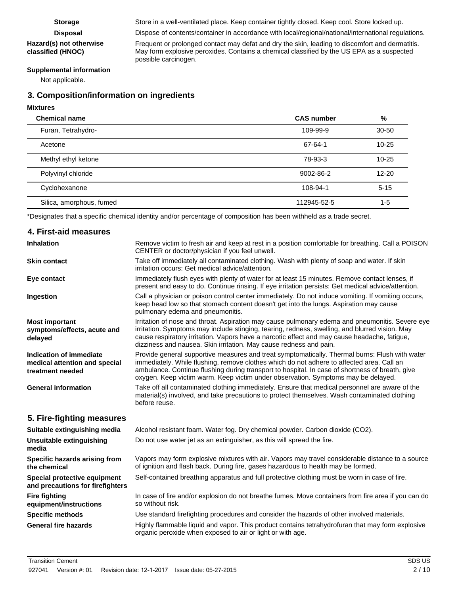#### **Hazard(s) not otherwise classified (HNOC)**

**Storage** Store in a well-ventilated place. Keep container tightly closed. Keep cool. Store locked up.

**Disposal** Dispose of contents/container in accordance with local/regional/national/international regulations.

Frequent or prolonged contact may defat and dry the skin, leading to discomfort and dermatitis. May form explosive peroxides. Contains a chemical classified by the US EPA as a suspected possible carcinogen.

#### **Supplemental information**

Not applicable.

### **3. Composition/information on ingredients**

#### **Mixtures**

| <b>Chemical name</b>     | <b>CAS number</b> | %         |
|--------------------------|-------------------|-----------|
| Furan, Tetrahydro-       | 109-99-9          | $30 - 50$ |
| Acetone                  | 67-64-1           | $10 - 25$ |
| Methyl ethyl ketone      | 78-93-3           | $10 - 25$ |
| Polyvinyl chloride       | 9002-86-2         | $12 - 20$ |
| Cyclohexanone            | 108-94-1          | $5 - 15$  |
| Silica, amorphous, fumed | 112945-52-5       | $1 - 5$   |

\*Designates that a specific chemical identity and/or percentage of composition has been withheld as a trade secret.

#### **4. First-aid measures** Remove victim to fresh air and keep at rest in a position comfortable for breathing. Call a POISON CENTER or doctor/physician if you feel unwell. **Inhalation** Take off immediately all contaminated clothing. Wash with plenty of soap and water. If skin irritation occurs: Get medical advice/attention. **Skin contact** Immediately flush eyes with plenty of water for at least 15 minutes. Remove contact lenses, if present and easy to do. Continue rinsing. If eye irritation persists: Get medical advice/attention. **Eye contact** Call a physician or poison control center immediately. Do not induce vomiting. If vomiting occurs, keep head low so that stomach content doesn't get into the lungs. Aspiration may cause pulmonary edema and pneumonitis. **Ingestion** Irritation of nose and throat. Aspiration may cause pulmonary edema and pneumonitis. Severe eye irritation. Symptoms may include stinging, tearing, redness, swelling, and blurred vision. May cause respiratory irritation. Vapors have a narcotic effect and may cause headache, fatigue, dizziness and nausea. Skin irritation. May cause redness and pain. **Most important symptoms/effects, acute and delayed** Provide general supportive measures and treat symptomatically. Thermal burns: Flush with water immediately. While flushing, remove clothes which do not adhere to affected area. Call an ambulance. Continue flushing during transport to hospital. In case of shortness of breath, give oxygen. Keep victim warm. Keep victim under observation. Symptoms may be delayed. **Indication of immediate medical attention and special treatment needed** Take off all contaminated clothing immediately. Ensure that medical personnel are aware of the material(s) involved, and take precautions to protect themselves. Wash contaminated clothing before reuse. **General information 5. Fire-fighting measures Suitable extinguishing media** Alcohol resistant foam. Water fog. Dry chemical powder. Carbon dioxide (CO2). **Unsuitable extinguishing** Do not use water jet as an extinguisher, as this will spread the fire. **media** Vapors may form explosive mixtures with air. Vapors may travel considerable distance to a source of ignition and flash back. During fire, gases hazardous to health may be formed. **Specific hazards arising from the chemical Special protective equipment** Self-contained breathing apparatus and full protective clothing must be worn in case of fire. **and precautions for firefighters** In case of fire and/or explosion do not breathe fumes. Move containers from fire area if you can do so without risk. **Fire fighting equipment/instructions Specific methods** Use standard firefighting procedures and consider the hazards of other involved materials. Highly flammable liquid and vapor. This product contains tetrahydrofuran that may form explosive organic peroxide when exposed to air or light or with age. **General fire hazards**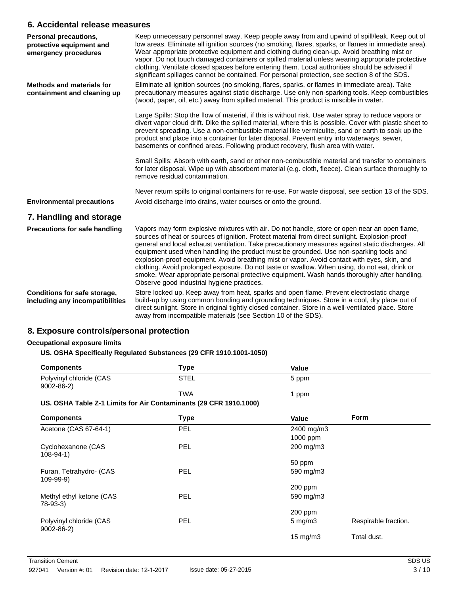### **6. Accidental release measures**

| Personal precautions,<br>protective equipment and<br>emergency procedures | Keep unnecessary personnel away. Keep people away from and upwind of spill/leak. Keep out of<br>low areas. Eliminate all ignition sources (no smoking, flares, sparks, or flames in immediate area).<br>Wear appropriate protective equipment and clothing during clean-up. Avoid breathing mist or<br>vapor. Do not touch damaged containers or spilled material unless wearing appropriate protective<br>clothing. Ventilate closed spaces before entering them. Local authorities should be advised if<br>significant spillages cannot be contained. For personal protection, see section 8 of the SDS.                                                                                                                                   |
|---------------------------------------------------------------------------|----------------------------------------------------------------------------------------------------------------------------------------------------------------------------------------------------------------------------------------------------------------------------------------------------------------------------------------------------------------------------------------------------------------------------------------------------------------------------------------------------------------------------------------------------------------------------------------------------------------------------------------------------------------------------------------------------------------------------------------------|
| <b>Methods and materials for</b><br>containment and cleaning up           | Eliminate all ignition sources (no smoking, flares, sparks, or flames in immediate area). Take<br>precautionary measures against static discharge. Use only non-sparking tools. Keep combustibles<br>(wood, paper, oil, etc.) away from spilled material. This product is miscible in water.                                                                                                                                                                                                                                                                                                                                                                                                                                                 |
|                                                                           | Large Spills: Stop the flow of material, if this is without risk. Use water spray to reduce vapors or<br>divert vapor cloud drift. Dike the spilled material, where this is possible. Cover with plastic sheet to<br>prevent spreading. Use a non-combustible material like vermiculite, sand or earth to soak up the<br>product and place into a container for later disposal. Prevent entry into waterways, sewer,<br>basements or confined areas. Following product recovery, flush area with water.                                                                                                                                                                                                                                      |
|                                                                           | Small Spills: Absorb with earth, sand or other non-combustible material and transfer to containers<br>for later disposal. Wipe up with absorbent material (e.g. cloth, fleece). Clean surface thoroughly to<br>remove residual contamination.                                                                                                                                                                                                                                                                                                                                                                                                                                                                                                |
|                                                                           | Never return spills to original containers for re-use. For waste disposal, see section 13 of the SDS.                                                                                                                                                                                                                                                                                                                                                                                                                                                                                                                                                                                                                                        |
| <b>Environmental precautions</b>                                          | Avoid discharge into drains, water courses or onto the ground.                                                                                                                                                                                                                                                                                                                                                                                                                                                                                                                                                                                                                                                                               |
| 7. Handling and storage                                                   |                                                                                                                                                                                                                                                                                                                                                                                                                                                                                                                                                                                                                                                                                                                                              |
| <b>Precautions for safe handling</b>                                      | Vapors may form explosive mixtures with air. Do not handle, store or open near an open flame,<br>sources of heat or sources of ignition. Protect material from direct sunlight. Explosion-proof<br>general and local exhaust ventilation. Take precautionary measures against static discharges. All<br>equipment used when handling the product must be grounded. Use non-sparking tools and<br>explosion-proof equipment. Avoid breathing mist or vapor. Avoid contact with eyes, skin, and<br>clothing. Avoid prolonged exposure. Do not taste or swallow. When using, do not eat, drink or<br>smoke. Wear appropriate personal protective equipment. Wash hands thoroughly after handling.<br>Observe good industrial hygiene practices. |
| Conditions for safe storage,<br>including any incompatibilities           | Store locked up. Keep away from heat, sparks and open flame. Prevent electrostatic charge<br>build-up by using common bonding and grounding techniques. Store in a cool, dry place out of<br>direct sunlight. Store in original tightly closed container. Store in a well-ventilated place. Store<br>away from incompatible materials (see Section 10 of the SDS).                                                                                                                                                                                                                                                                                                                                                                           |

## **8. Exposure controls/personal protection**

#### **Occupational exposure limits**

#### **US. OSHA Specifically Regulated Substances (29 CFR 1910.1001-1050)**

| <b>Components</b>                          | Type       | Value |  |
|--------------------------------------------|------------|-------|--|
| Polyvinyl chloride (CAS<br>$9002 - 86 - 2$ | STEL       | 5 ppm |  |
|                                            | <b>TWA</b> | ppm   |  |

#### **US. OSHA Table Z-1 Limits for Air Contaminants (29 CFR 1910.1000)**

| <b>Components</b>                          | <b>Type</b> | <b>Value</b>      | <b>Form</b>          |
|--------------------------------------------|-------------|-------------------|----------------------|
| Acetone (CAS 67-64-1)                      | PEL         | 2400 mg/m3        |                      |
|                                            |             | 1000 ppm          |                      |
| Cyclohexanone (CAS<br>$108 - 94 - 1$       | PEL         | 200 mg/m3         |                      |
|                                            |             | 50 ppm            |                      |
| Furan, Tetrahydro- (CAS<br>$109 - 99 - 9)$ | <b>PEL</b>  | 590 mg/m3         |                      |
|                                            |             | 200 ppm           |                      |
| Methyl ethyl ketone (CAS<br>78-93-3)       | PEL         | 590 mg/m3         |                      |
|                                            |             | $200$ ppm         |                      |
| Polyvinyl chloride (CAS<br>$9002 - 86 - 2$ | <b>PEL</b>  | $5 \text{ mg/m}$  | Respirable fraction. |
|                                            |             | $15 \text{ mg/m}$ | Total dust.          |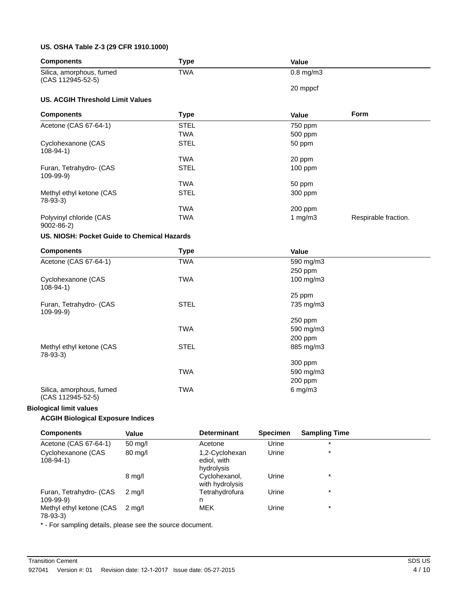#### **US. OSHA Table Z-3 (29 CFR 1910.1000)**

| <b>Components</b>                             | <b>Type</b> | Value          |                      |
|-----------------------------------------------|-------------|----------------|----------------------|
| Silica, amorphous, fumed<br>(CAS 112945-52-5) | <b>TWA</b>  | $0.8$ mg/m $3$ |                      |
|                                               |             | 20 mppcf       |                      |
| <b>US. ACGIH Threshold Limit Values</b>       |             |                |                      |
| <b>Components</b>                             | <b>Type</b> | Value          | Form                 |
| Acetone (CAS 67-64-1)                         | <b>STEL</b> | 750 ppm        |                      |
|                                               | <b>TWA</b>  | 500 ppm        |                      |
| Cyclohexanone (CAS<br>$108 - 94 - 1$          | <b>STEL</b> | 50 ppm         |                      |
|                                               | <b>TWA</b>  | 20 ppm         |                      |
| Furan, Tetrahydro- (CAS<br>$109-99-9)$        | <b>STEL</b> | 100 ppm        |                      |
|                                               | <b>TWA</b>  | 50 ppm         |                      |
| Methyl ethyl ketone (CAS<br>$78-93-3)$        | <b>STEL</b> | 300 ppm        |                      |
|                                               | <b>TWA</b>  | 200 ppm        |                      |
| Polyvinyl chloride (CAS<br>$9002 - 86 - 2$    | <b>TWA</b>  | 1 $mg/m3$      | Respirable fraction. |
| US. NIOSH: Pocket Guide to Chemical Hazards   |             |                |                      |
| <b>Components</b>                             | <b>Type</b> | Value          |                      |
| Acetone (CAS 67-64-1)                         | <b>TWA</b>  | 590 mg/m3      |                      |
|                                               |             | 250 ppm        |                      |
| Cyclohexanone (CAS<br>$108 - 94 - 1$          | <b>TWA</b>  | 100 mg/m3      |                      |
|                                               |             | 25 ppm         |                      |
| Furan, Tetrahydro- (CAS<br>109-99-9)          | <b>STEL</b> | 735 mg/m3      |                      |
|                                               |             | 250 ppm        |                      |
|                                               | <b>TWA</b>  | 590 mg/m3      |                      |
|                                               |             | 200 ppm        |                      |
| Methyl ethyl ketone (CAS<br>78-93-3)          | <b>STEL</b> | 885 mg/m3      |                      |
|                                               |             | 300 ppm        |                      |
|                                               | <b>TWA</b>  | 590 mg/m3      |                      |
|                                               |             | 200 ppm        |                      |
| Silica, amorphous, fumed<br>(CAS 112945-52-5) | <b>TWA</b>  | $6$ mg/m $3$   |                      |

#### **Biological limit values**

## **ACGIH Biological Exposure Indices**

| <b>Components</b>                          | Value             | <b>Determinant</b>                          | <b>Specimen</b> | <b>Sampling Time</b> |
|--------------------------------------------|-------------------|---------------------------------------------|-----------------|----------------------|
| Acetone (CAS 67-64-1)                      | $50 \text{ mg/l}$ | Acetone                                     | Urine           | $\star$              |
| Cyclohexanone (CAS<br>$108 - 94 - 1$       | $80 \text{ mg/l}$ | 1,2-Cyclohexan<br>ediol, with<br>hydrolysis | Urine           | $\star$              |
|                                            | $8 \text{ mg/l}$  | Cyclohexanol,<br>with hydrolysis            | Urine           | $\star$              |
| Furan, Tetrahydro- (CAS<br>$109 - 99 - 9)$ | $2 \text{ ma/l}$  | Tetrahydrofura<br>n                         | Urine           | $\star$              |
| Methyl ethyl ketone (CAS<br>78-93-3)       | 2 ma/l            | <b>MEK</b>                                  | Urine           | $\star$              |

\* - For sampling details, please see the source document.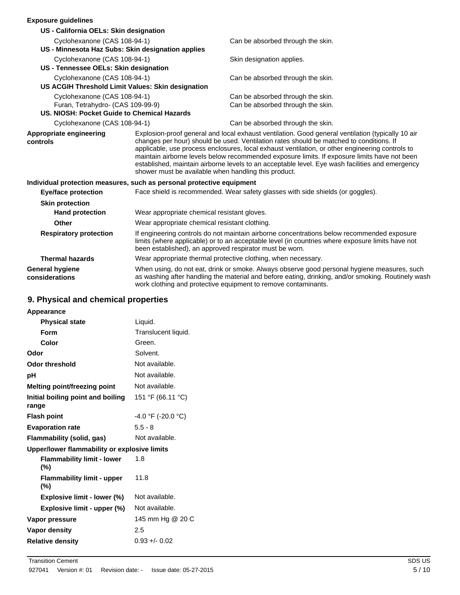## **Exposure guidelines**

| EXPOSULE GUIUEIIIIES                                                  |                                             |                                                                                                                                                                                                                                                                                                                                                                                                                                                                                                                                                            |  |
|-----------------------------------------------------------------------|---------------------------------------------|------------------------------------------------------------------------------------------------------------------------------------------------------------------------------------------------------------------------------------------------------------------------------------------------------------------------------------------------------------------------------------------------------------------------------------------------------------------------------------------------------------------------------------------------------------|--|
| US - California OELs: Skin designation                                |                                             |                                                                                                                                                                                                                                                                                                                                                                                                                                                                                                                                                            |  |
| Cyclohexanone (CAS 108-94-1)                                          |                                             | Can be absorbed through the skin.                                                                                                                                                                                                                                                                                                                                                                                                                                                                                                                          |  |
| US - Minnesota Haz Subs: Skin designation applies                     |                                             |                                                                                                                                                                                                                                                                                                                                                                                                                                                                                                                                                            |  |
| Cyclohexanone (CAS 108-94-1)                                          |                                             | Skin designation applies.                                                                                                                                                                                                                                                                                                                                                                                                                                                                                                                                  |  |
| US - Tennessee OELs: Skin designation                                 |                                             |                                                                                                                                                                                                                                                                                                                                                                                                                                                                                                                                                            |  |
| Cyclohexanone (CAS 108-94-1)                                          |                                             | Can be absorbed through the skin.                                                                                                                                                                                                                                                                                                                                                                                                                                                                                                                          |  |
| US ACGIH Threshold Limit Values: Skin designation                     |                                             |                                                                                                                                                                                                                                                                                                                                                                                                                                                                                                                                                            |  |
| Cyclohexanone (CAS 108-94-1)                                          |                                             | Can be absorbed through the skin.                                                                                                                                                                                                                                                                                                                                                                                                                                                                                                                          |  |
| Furan, Tetrahydro- (CAS 109-99-9)                                     |                                             | Can be absorbed through the skin.                                                                                                                                                                                                                                                                                                                                                                                                                                                                                                                          |  |
| US. NIOSH: Pocket Guide to Chemical Hazards                           |                                             |                                                                                                                                                                                                                                                                                                                                                                                                                                                                                                                                                            |  |
| Cyclohexanone (CAS 108-94-1)                                          |                                             | Can be absorbed through the skin.                                                                                                                                                                                                                                                                                                                                                                                                                                                                                                                          |  |
| Appropriate engineering<br>controls                                   |                                             | Explosion-proof general and local exhaust ventilation. Good general ventilation (typically 10 air<br>changes per hour) should be used. Ventilation rates should be matched to conditions. If<br>applicable, use process enclosures, local exhaust ventilation, or other engineering controls to<br>maintain airborne levels below recommended exposure limits. If exposure limits have not been<br>established, maintain airborne levels to an acceptable level. Eye wash facilities and emergency<br>shower must be available when handling this product. |  |
| Individual protection measures, such as personal protective equipment |                                             |                                                                                                                                                                                                                                                                                                                                                                                                                                                                                                                                                            |  |
| <b>Eye/face protection</b>                                            |                                             | Face shield is recommended. Wear safety glasses with side shields (or goggles).                                                                                                                                                                                                                                                                                                                                                                                                                                                                            |  |
| <b>Skin protection</b>                                                |                                             |                                                                                                                                                                                                                                                                                                                                                                                                                                                                                                                                                            |  |
| <b>Hand protection</b>                                                | Wear appropriate chemical resistant gloves. |                                                                                                                                                                                                                                                                                                                                                                                                                                                                                                                                                            |  |
| Other                                                                 |                                             | Wear appropriate chemical resistant clothing.                                                                                                                                                                                                                                                                                                                                                                                                                                                                                                              |  |
| <b>Respiratory protection</b>                                         |                                             | If engineering controls do not maintain airborne concentrations below recommended exposure<br>limits (where applicable) or to an acceptable level (in countries where exposure limits have not<br>been established), an approved respirator must be worn.                                                                                                                                                                                                                                                                                                  |  |
| <b>Thermal hazards</b>                                                |                                             | Wear appropriate thermal protective clothing, when necessary.                                                                                                                                                                                                                                                                                                                                                                                                                                                                                              |  |
| <b>General hygiene</b><br>considerations                              |                                             | When using, do not eat, drink or smoke. Always observe good personal hygiene measures, such<br>as washing after handling the material and before eating, drinking, and/or smoking. Routinely wash<br>work clothing and protective equipment to remove contaminants.                                                                                                                                                                                                                                                                                        |  |

## **9. Physical and chemical properties**

| Appearance                                   |                      |
|----------------------------------------------|----------------------|
| <b>Physical state</b>                        | Liquid.              |
| Form                                         | Translucent liquid.  |
| Color                                        | Green.               |
| Odor                                         | Solvent.             |
| <b>Odor threshold</b>                        | Not available.       |
| рH                                           | Not available.       |
| Melting point/freezing point                 | Not available.       |
| Initial boiling point and boiling<br>range   | 151 °F (66.11 °C)    |
| <b>Flash point</b>                           | $-4.0$ °F (-20.0 °C) |
| <b>Evaporation rate</b>                      | $5.5 - 8$            |
| <b>Flammability (solid, gas)</b>             | Not available.       |
| Upper/lower flammability or explosive limits |                      |
| <b>Flammability limit - lower</b><br>(%)     | 1.8                  |
| <b>Flammability limit - upper</b><br>(%)     | 11.8                 |
| Explosive limit - lower (%)                  | Not available.       |
| Explosive limit - upper (%)                  | Not available.       |
| Vapor pressure                               | 145 mm Hg @ 20 C     |
| <b>Vapor density</b>                         | 2.5                  |
| <b>Relative density</b>                      | $0.93 + 0.02$        |
|                                              |                      |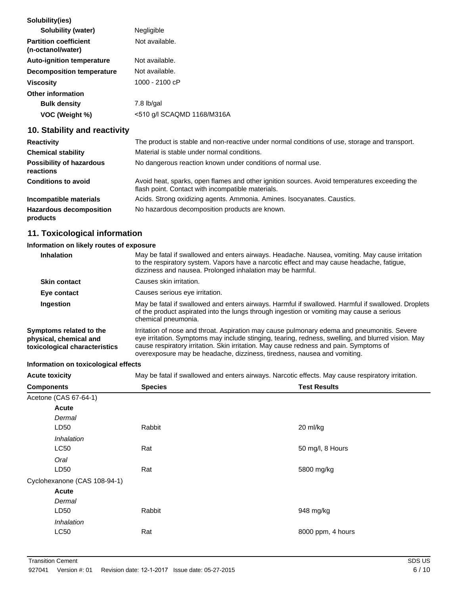| Solubility(ies)                                   |                            |
|---------------------------------------------------|----------------------------|
| Solubility (water)                                | Negligible                 |
| <b>Partition coefficient</b><br>(n-octanol/water) | Not available.             |
| <b>Auto-ignition temperature</b>                  | Not available.             |
| <b>Decomposition temperature</b>                  | Not available.             |
| <b>Viscosity</b>                                  | 1000 - 2100 cP             |
| <b>Other information</b>                          |                            |
| <b>Bulk density</b>                               | 7.8 lb/gal                 |
| VOC (Weight %)                                    | <510 g/l SCAQMD 1168/M316A |
|                                                   |                            |

## **10. Stability and reactivity**

| <b>Reactivity</b>                            | The product is stable and non-reactive under normal conditions of use, storage and transport.                                                     |
|----------------------------------------------|---------------------------------------------------------------------------------------------------------------------------------------------------|
| <b>Chemical stability</b>                    | Material is stable under normal conditions.                                                                                                       |
| <b>Possibility of hazardous</b><br>reactions | No dangerous reaction known under conditions of normal use.                                                                                       |
| <b>Conditions to avoid</b>                   | Avoid heat, sparks, open flames and other ignition sources. Avoid temperatures exceeding the<br>flash point. Contact with incompatible materials. |
| Incompatible materials                       | Acids. Strong oxidizing agents. Ammonia. Amines. Isocyanates. Caustics.                                                                           |
| <b>Hazardous decomposition</b><br>products   | No hazardous decomposition products are known.                                                                                                    |

## **11. Toxicological information**

## **Information on likely routes of exposure**

| <b>Inhalation</b>                                                                  | May be fatal if swallowed and enters airways. Headache. Nausea, vomiting. May cause irritation<br>to the respiratory system. Vapors have a narcotic effect and may cause headache, fatigue,<br>dizziness and nausea. Prolonged inhalation may be harmful.                                                                                                               |
|------------------------------------------------------------------------------------|-------------------------------------------------------------------------------------------------------------------------------------------------------------------------------------------------------------------------------------------------------------------------------------------------------------------------------------------------------------------------|
| <b>Skin contact</b>                                                                | Causes skin irritation.                                                                                                                                                                                                                                                                                                                                                 |
| Eye contact                                                                        | Causes serious eye irritation.                                                                                                                                                                                                                                                                                                                                          |
| Ingestion                                                                          | May be fatal if swallowed and enters airways. Harmful if swallowed. Harmful if swallowed. Droplets<br>of the product aspirated into the lungs through ingestion or vomiting may cause a serious<br>chemical pneumonia.                                                                                                                                                  |
| Symptoms related to the<br>physical, chemical and<br>toxicological characteristics | Irritation of nose and throat. Aspiration may cause pulmonary edema and pneumonitis. Severe<br>eye irritation. Symptoms may include stinging, tearing, redness, swelling, and blurred vision. May<br>cause respiratory irritation. Skin irritation. May cause redness and pain. Symptoms of<br>overexposure may be headache, dizziness, tiredness, nausea and vomiting. |

## **Information on toxicological effects**

| information on toxicological effects |                |                                                                                                   |  |  |
|--------------------------------------|----------------|---------------------------------------------------------------------------------------------------|--|--|
| <b>Acute toxicity</b>                |                | May be fatal if swallowed and enters airways. Narcotic effects. May cause respiratory irritation. |  |  |
| <b>Components</b>                    | <b>Species</b> | <b>Test Results</b>                                                                               |  |  |
| Acetone (CAS 67-64-1)                |                |                                                                                                   |  |  |
| Acute                                |                |                                                                                                   |  |  |
| Dermal                               |                |                                                                                                   |  |  |
| LD50                                 | Rabbit         | 20 ml/kg                                                                                          |  |  |
| <i><b>Inhalation</b></i>             |                |                                                                                                   |  |  |
| <b>LC50</b>                          | Rat            | 50 mg/l, 8 Hours                                                                                  |  |  |
| Oral                                 |                |                                                                                                   |  |  |
| LD50                                 | Rat            | 5800 mg/kg                                                                                        |  |  |
| Cyclohexanone (CAS 108-94-1)         |                |                                                                                                   |  |  |
| Acute                                |                |                                                                                                   |  |  |
| Dermal                               |                |                                                                                                   |  |  |
| LD50                                 | Rabbit         | 948 mg/kg                                                                                         |  |  |
|                                      |                |                                                                                                   |  |  |

LC50 Rat

*Inhalation*

8000 ppm, 4 hours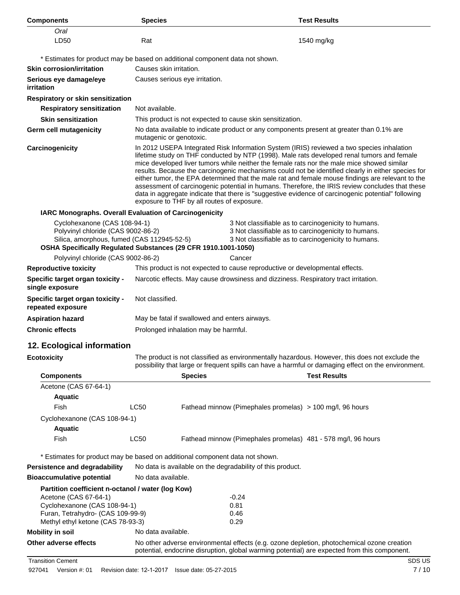| <b>Components</b>                                                                                                                                                                    | <b>Species</b>                                                                                                                                                                                                                                                                                                                                                                                                                                                                                                                                                                                                                                                                                                                                         |                |                                                            | <b>Test Results</b>                                                                                                                                                                        |
|--------------------------------------------------------------------------------------------------------------------------------------------------------------------------------------|--------------------------------------------------------------------------------------------------------------------------------------------------------------------------------------------------------------------------------------------------------------------------------------------------------------------------------------------------------------------------------------------------------------------------------------------------------------------------------------------------------------------------------------------------------------------------------------------------------------------------------------------------------------------------------------------------------------------------------------------------------|----------------|------------------------------------------------------------|--------------------------------------------------------------------------------------------------------------------------------------------------------------------------------------------|
| Oral<br>LD50                                                                                                                                                                         | Rat                                                                                                                                                                                                                                                                                                                                                                                                                                                                                                                                                                                                                                                                                                                                                    |                |                                                            | 1540 mg/kg                                                                                                                                                                                 |
|                                                                                                                                                                                      |                                                                                                                                                                                                                                                                                                                                                                                                                                                                                                                                                                                                                                                                                                                                                        |                |                                                            |                                                                                                                                                                                            |
| * Estimates for product may be based on additional component data not shown.                                                                                                         |                                                                                                                                                                                                                                                                                                                                                                                                                                                                                                                                                                                                                                                                                                                                                        |                |                                                            |                                                                                                                                                                                            |
| <b>Skin corrosion/irritation</b>                                                                                                                                                     | Causes skin irritation.                                                                                                                                                                                                                                                                                                                                                                                                                                                                                                                                                                                                                                                                                                                                |                |                                                            |                                                                                                                                                                                            |
| Serious eye damage/eye<br>irritation                                                                                                                                                 | Causes serious eye irritation.                                                                                                                                                                                                                                                                                                                                                                                                                                                                                                                                                                                                                                                                                                                         |                |                                                            |                                                                                                                                                                                            |
| Respiratory or skin sensitization                                                                                                                                                    |                                                                                                                                                                                                                                                                                                                                                                                                                                                                                                                                                                                                                                                                                                                                                        |                |                                                            |                                                                                                                                                                                            |
| <b>Respiratory sensitization</b>                                                                                                                                                     | Not available.                                                                                                                                                                                                                                                                                                                                                                                                                                                                                                                                                                                                                                                                                                                                         |                |                                                            |                                                                                                                                                                                            |
| <b>Skin sensitization</b>                                                                                                                                                            |                                                                                                                                                                                                                                                                                                                                                                                                                                                                                                                                                                                                                                                                                                                                                        |                | This product is not expected to cause skin sensitization.  |                                                                                                                                                                                            |
| <b>Germ cell mutagenicity</b>                                                                                                                                                        | No data available to indicate product or any components present at greater than 0.1% are<br>mutagenic or genotoxic.                                                                                                                                                                                                                                                                                                                                                                                                                                                                                                                                                                                                                                    |                |                                                            |                                                                                                                                                                                            |
| Carcinogenicity                                                                                                                                                                      | In 2012 USEPA Integrated Risk Information System (IRIS) reviewed a two species inhalation<br>lifetime study on THF conducted by NTP (1998). Male rats developed renal tumors and female<br>mice developed liver tumors while neither the female rats nor the male mice showed similar<br>results. Because the carcinogenic mechanisms could not be identified clearly in either species for<br>either tumor, the EPA determined that the male rat and female mouse findings are relevant to the<br>assessment of carcinogenic potential in humans. Therefore, the IRIS review concludes that these<br>data in aggregate indicate that there is "suggestive evidence of carcinogenic potential" following<br>exposure to THF by all routes of exposure. |                |                                                            |                                                                                                                                                                                            |
| IARC Monographs. Overall Evaluation of Carcinogenicity                                                                                                                               |                                                                                                                                                                                                                                                                                                                                                                                                                                                                                                                                                                                                                                                                                                                                                        |                |                                                            |                                                                                                                                                                                            |
| Cyclohexanone (CAS 108-94-1)<br>Polyvinyl chloride (CAS 9002-86-2)                                                                                                                   | 3 Not classifiable as to carcinogenicity to humans.<br>3 Not classifiable as to carcinogenicity to humans.<br>Silica, amorphous, fumed (CAS 112945-52-5)<br>3 Not classifiable as to carcinogenicity to humans.<br>OSHA Specifically Regulated Substances (29 CFR 1910.1001-1050)                                                                                                                                                                                                                                                                                                                                                                                                                                                                      |                |                                                            |                                                                                                                                                                                            |
| Polyvinyl chloride (CAS 9002-86-2)                                                                                                                                                   |                                                                                                                                                                                                                                                                                                                                                                                                                                                                                                                                                                                                                                                                                                                                                        |                | Cancer                                                     |                                                                                                                                                                                            |
| <b>Reproductive toxicity</b>                                                                                                                                                         | This product is not expected to cause reproductive or developmental effects.                                                                                                                                                                                                                                                                                                                                                                                                                                                                                                                                                                                                                                                                           |                |                                                            |                                                                                                                                                                                            |
| Specific target organ toxicity -<br>single exposure                                                                                                                                  | Narcotic effects. May cause drowsiness and dizziness. Respiratory tract irritation.                                                                                                                                                                                                                                                                                                                                                                                                                                                                                                                                                                                                                                                                    |                |                                                            |                                                                                                                                                                                            |
| Specific target organ toxicity -<br>repeated exposure                                                                                                                                | Not classified.                                                                                                                                                                                                                                                                                                                                                                                                                                                                                                                                                                                                                                                                                                                                        |                |                                                            |                                                                                                                                                                                            |
| <b>Aspiration hazard</b>                                                                                                                                                             | May be fatal if swallowed and enters airways.                                                                                                                                                                                                                                                                                                                                                                                                                                                                                                                                                                                                                                                                                                          |                |                                                            |                                                                                                                                                                                            |
| <b>Chronic effects</b>                                                                                                                                                               | Prolonged inhalation may be harmful.                                                                                                                                                                                                                                                                                                                                                                                                                                                                                                                                                                                                                                                                                                                   |                |                                                            |                                                                                                                                                                                            |
| 12. Ecological information                                                                                                                                                           |                                                                                                                                                                                                                                                                                                                                                                                                                                                                                                                                                                                                                                                                                                                                                        |                |                                                            |                                                                                                                                                                                            |
| <b>Ecotoxicity</b>                                                                                                                                                                   | The product is not classified as environmentally hazardous. However, this does not exclude the<br>possibility that large or frequent spills can have a harmful or damaging effect on the environment.                                                                                                                                                                                                                                                                                                                                                                                                                                                                                                                                                  |                |                                                            |                                                                                                                                                                                            |
| <b>Components</b>                                                                                                                                                                    |                                                                                                                                                                                                                                                                                                                                                                                                                                                                                                                                                                                                                                                                                                                                                        | <b>Species</b> |                                                            | <b>Test Results</b>                                                                                                                                                                        |
| Acetone (CAS 67-64-1)                                                                                                                                                                |                                                                                                                                                                                                                                                                                                                                                                                                                                                                                                                                                                                                                                                                                                                                                        |                |                                                            |                                                                                                                                                                                            |
| <b>Aquatic</b>                                                                                                                                                                       |                                                                                                                                                                                                                                                                                                                                                                                                                                                                                                                                                                                                                                                                                                                                                        |                |                                                            |                                                                                                                                                                                            |
| Fish                                                                                                                                                                                 | LC50                                                                                                                                                                                                                                                                                                                                                                                                                                                                                                                                                                                                                                                                                                                                                   |                |                                                            | Fathead minnow (Pimephales promelas) > 100 mg/l, 96 hours                                                                                                                                  |
| Cyclohexanone (CAS 108-94-1)                                                                                                                                                         |                                                                                                                                                                                                                                                                                                                                                                                                                                                                                                                                                                                                                                                                                                                                                        |                |                                                            |                                                                                                                                                                                            |
| <b>Aquatic</b>                                                                                                                                                                       |                                                                                                                                                                                                                                                                                                                                                                                                                                                                                                                                                                                                                                                                                                                                                        |                |                                                            |                                                                                                                                                                                            |
| Fish                                                                                                                                                                                 | LC50                                                                                                                                                                                                                                                                                                                                                                                                                                                                                                                                                                                                                                                                                                                                                   |                |                                                            | Fathead minnow (Pimephales promelas) 481 - 578 mg/l, 96 hours                                                                                                                              |
| * Estimates for product may be based on additional component data not shown.                                                                                                         |                                                                                                                                                                                                                                                                                                                                                                                                                                                                                                                                                                                                                                                                                                                                                        |                |                                                            |                                                                                                                                                                                            |
| Persistence and degradability                                                                                                                                                        |                                                                                                                                                                                                                                                                                                                                                                                                                                                                                                                                                                                                                                                                                                                                                        |                | No data is available on the degradability of this product. |                                                                                                                                                                                            |
| <b>Bioaccumulative potential</b>                                                                                                                                                     | No data available.                                                                                                                                                                                                                                                                                                                                                                                                                                                                                                                                                                                                                                                                                                                                     |                |                                                            |                                                                                                                                                                                            |
| Partition coefficient n-octanol / water (log Kow)<br>Acetone (CAS 67-64-1)<br>Cyclohexanone (CAS 108-94-1)<br>Furan, Tetrahydro- (CAS 109-99-9)<br>Methyl ethyl ketone (CAS 78-93-3) |                                                                                                                                                                                                                                                                                                                                                                                                                                                                                                                                                                                                                                                                                                                                                        |                | $-0.24$<br>0.81<br>0.46<br>0.29                            |                                                                                                                                                                                            |
| <b>Mobility in soil</b>                                                                                                                                                              | No data available.                                                                                                                                                                                                                                                                                                                                                                                                                                                                                                                                                                                                                                                                                                                                     |                |                                                            |                                                                                                                                                                                            |
| Other adverse effects                                                                                                                                                                |                                                                                                                                                                                                                                                                                                                                                                                                                                                                                                                                                                                                                                                                                                                                                        |                |                                                            | No other adverse environmental effects (e.g. ozone depletion, photochemical ozone creation<br>potential, endocrine disruption, global warming potential) are expected from this component. |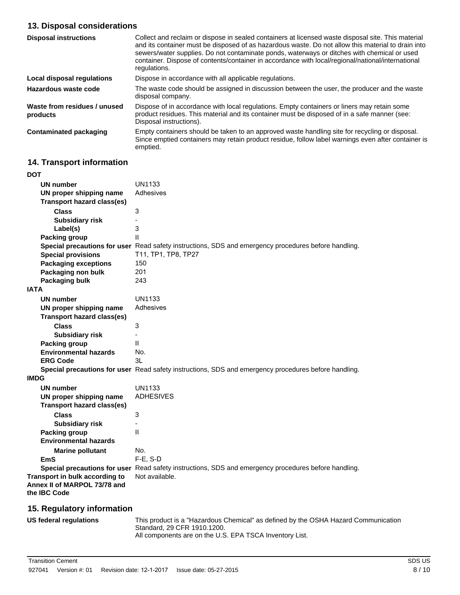## **13. Disposal considerations**

| <b>Disposal instructions</b>             | Collect and reclaim or dispose in sealed containers at licensed waste disposal site. This material<br>and its container must be disposed of as hazardous waste. Do not allow this material to drain into<br>sewers/water supplies. Do not contaminate ponds, waterways or ditches with chemical or used<br>container. Dispose of contents/container in accordance with local/regional/national/international<br>regulations. |
|------------------------------------------|------------------------------------------------------------------------------------------------------------------------------------------------------------------------------------------------------------------------------------------------------------------------------------------------------------------------------------------------------------------------------------------------------------------------------|
| Local disposal regulations               | Dispose in accordance with all applicable regulations.                                                                                                                                                                                                                                                                                                                                                                       |
| Hazardous waste code                     | The waste code should be assigned in discussion between the user, the producer and the waste<br>disposal company.                                                                                                                                                                                                                                                                                                            |
| Waste from residues / unused<br>products | Dispose of in accordance with local regulations. Empty containers or liners may retain some<br>product residues. This material and its container must be disposed of in a safe manner (see:<br>Disposal instructions).                                                                                                                                                                                                       |
| <b>Contaminated packaging</b>            | Empty containers should be taken to an approved waste handling site for recycling or disposal.<br>Since emptied containers may retain product residue, follow label warnings even after container is<br>emptied.                                                                                                                                                                                                             |

## **14. Transport information**

| <b>DOT</b>                                                     |                                                                                                      |
|----------------------------------------------------------------|------------------------------------------------------------------------------------------------------|
| <b>UN number</b>                                               | <b>UN1133</b>                                                                                        |
| UN proper shipping name                                        | Adhesives                                                                                            |
| <b>Transport hazard class(es)</b>                              |                                                                                                      |
| <b>Class</b>                                                   | 3                                                                                                    |
| <b>Subsidiary risk</b>                                         |                                                                                                      |
| Label(s)                                                       | 3                                                                                                    |
| <b>Packing group</b>                                           | $\mathbf{I}$                                                                                         |
|                                                                | Special precautions for user Read safety instructions, SDS and emergency procedures before handling. |
| <b>Special provisions</b>                                      | T11, TP1, TP8, TP27                                                                                  |
| <b>Packaging exceptions</b>                                    | 150                                                                                                  |
| Packaging non bulk                                             | 201                                                                                                  |
| Packaging bulk                                                 | 243                                                                                                  |
| <b>IATA</b>                                                    |                                                                                                      |
| <b>UN number</b>                                               | <b>UN1133</b>                                                                                        |
| UN proper shipping name                                        | Adhesives                                                                                            |
| <b>Transport hazard class(es)</b>                              |                                                                                                      |
| <b>Class</b>                                                   | 3                                                                                                    |
| <b>Subsidiary risk</b>                                         |                                                                                                      |
| Packing group                                                  | $\mathbf{I}$                                                                                         |
| <b>Environmental hazards</b>                                   | No.                                                                                                  |
| <b>ERG Code</b>                                                | 3L                                                                                                   |
|                                                                | Special precautions for user Read safety instructions, SDS and emergency procedures before handling. |
| <b>IMDG</b>                                                    |                                                                                                      |
| <b>UN number</b>                                               | <b>UN1133</b>                                                                                        |
| UN proper shipping name                                        | <b>ADHESIVES</b>                                                                                     |
| Transport hazard class(es)                                     |                                                                                                      |
| <b>Class</b>                                                   | 3                                                                                                    |
| <b>Subsidiary risk</b>                                         |                                                                                                      |
| <b>Packing group</b>                                           | $\mathbf{I}$                                                                                         |
| <b>Environmental hazards</b>                                   |                                                                                                      |
| <b>Marine pollutant</b>                                        | No.                                                                                                  |
| <b>EmS</b>                                                     | F-E, S-D                                                                                             |
|                                                                | Special precautions for user Read safety instructions, SDS and emergency procedures before handling. |
| Transport in bulk according to<br>Annex II of MARPOL 73/78 and | Not available.                                                                                       |
| the IBC Code                                                   |                                                                                                      |
|                                                                |                                                                                                      |

## **15. Regulatory information**

| US federal regulations | This product is a "Hazardous Chemical" as defined by the OSHA Hazard Communication |
|------------------------|------------------------------------------------------------------------------------|
|                        | Standard, 29 CFR 1910, 1200.                                                       |
|                        | All components are on the U.S. EPA TSCA Inventory List.                            |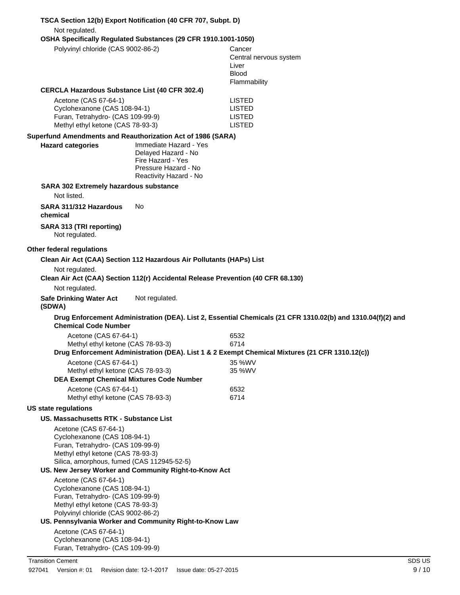| Not regulated.                                                                                                                                                                                                                 | TSCA Section 12(b) Export Notification (40 CFR 707, Subpt. D)                              |                                                                                                             |
|--------------------------------------------------------------------------------------------------------------------------------------------------------------------------------------------------------------------------------|--------------------------------------------------------------------------------------------|-------------------------------------------------------------------------------------------------------------|
| Polyvinyl chloride (CAS 9002-86-2)                                                                                                                                                                                             | OSHA Specifically Regulated Substances (29 CFR 1910.1001-1050)                             | Cancer<br>Central nervous system<br>Liver<br><b>Blood</b><br>Flammability                                   |
| <b>CERCLA Hazardous Substance List (40 CFR 302.4)</b><br>Acetone (CAS 67-64-1)<br>Cyclohexanone (CAS 108-94-1)<br>Furan, Tetrahydro- (CAS 109-99-9)<br>Methyl ethyl ketone (CAS 78-93-3)                                       |                                                                                            | LISTED<br><b>LISTED</b><br><b>LISTED</b><br><b>LISTED</b>                                                   |
| Superfund Amendments and Reauthorization Act of 1986 (SARA)<br><b>Hazard categories</b>                                                                                                                                        | Immediate Hazard - Yes<br>Delayed Hazard - No<br>Fire Hazard - Yes<br>Pressure Hazard - No |                                                                                                             |
| SARA 302 Extremely hazardous substance                                                                                                                                                                                         | Reactivity Hazard - No                                                                     |                                                                                                             |
| Not listed.                                                                                                                                                                                                                    |                                                                                            |                                                                                                             |
| SARA 311/312 Hazardous<br>chemical                                                                                                                                                                                             | No                                                                                         |                                                                                                             |
| SARA 313 (TRI reporting)<br>Not regulated.                                                                                                                                                                                     |                                                                                            |                                                                                                             |
| Other federal regulations                                                                                                                                                                                                      |                                                                                            |                                                                                                             |
|                                                                                                                                                                                                                                | Clean Air Act (CAA) Section 112 Hazardous Air Pollutants (HAPs) List                       |                                                                                                             |
| Not regulated.                                                                                                                                                                                                                 | Clean Air Act (CAA) Section 112(r) Accidental Release Prevention (40 CFR 68.130)           |                                                                                                             |
| Not regulated.                                                                                                                                                                                                                 |                                                                                            |                                                                                                             |
| <b>Safe Drinking Water Act</b><br>(SDWA)                                                                                                                                                                                       | Not regulated.                                                                             |                                                                                                             |
| <b>Chemical Code Number</b>                                                                                                                                                                                                    |                                                                                            | Drug Enforcement Administration (DEA). List 2, Essential Chemicals (21 CFR 1310.02(b) and 1310.04(f)(2) and |
| Acetone (CAS 67-64-1)                                                                                                                                                                                                          |                                                                                            | 6532                                                                                                        |
| Methyl ethyl ketone (CAS 78-93-3)                                                                                                                                                                                              |                                                                                            | 6714<br>Drug Enforcement Administration (DEA). List 1 & 2 Exempt Chemical Mixtures (21 CFR 1310.12(c))      |
| Acetone (CAS 67-64-1)<br>Methyl ethyl ketone (CAS 78-93-3)                                                                                                                                                                     | <b>DEA Exempt Chemical Mixtures Code Number</b>                                            | 35 %WV<br>35 %WV                                                                                            |
| Acetone (CAS 67-64-1)                                                                                                                                                                                                          |                                                                                            | 6532                                                                                                        |
| Methyl ethyl ketone (CAS 78-93-3)                                                                                                                                                                                              |                                                                                            | 6714                                                                                                        |
| <b>US state regulations</b>                                                                                                                                                                                                    |                                                                                            |                                                                                                             |
| <b>US. Massachusetts RTK - Substance List</b><br>Acetone (CAS 67-64-1)<br>Cyclohexanone (CAS 108-94-1)<br>Furan, Tetrahydro- (CAS 109-99-9)<br>Methyl ethyl ketone (CAS 78-93-3)<br>Silica, amorphous, fumed (CAS 112945-52-5) |                                                                                            |                                                                                                             |
|                                                                                                                                                                                                                                | US. New Jersey Worker and Community Right-to-Know Act                                      |                                                                                                             |
| Acetone (CAS 67-64-1)<br>Cyclohexanone (CAS 108-94-1)<br>Furan, Tetrahydro- (CAS 109-99-9)<br>Methyl ethyl ketone (CAS 78-93-3)<br>Polyvinyl chloride (CAS 9002-86-2)                                                          | US. Pennsylvania Worker and Community Right-to-Know Law                                    |                                                                                                             |
| Acetone (CAS 67-64-1)                                                                                                                                                                                                          |                                                                                            |                                                                                                             |
| Cyclohexanone (CAS 108-94-1)<br>Furan, Tetrahydro- (CAS 109-99-9)                                                                                                                                                              |                                                                                            |                                                                                                             |
| <b>Transition Cement</b>                                                                                                                                                                                                       |                                                                                            | SDS US                                                                                                      |